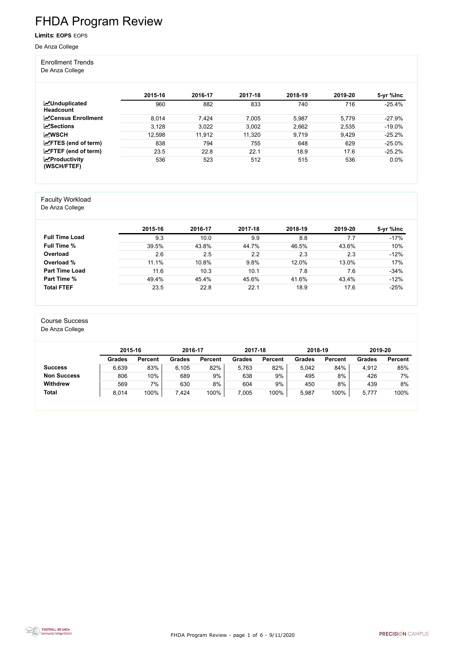FHDA Program Review - page 1 of 6 - 9/11/2020



# FHDA Program Review

Limits: **EOPS** EOPS

De Anza College

#### Enrollment Trends

De Anza College

|                                          | 2015-16 | 2016-17 | 2017-18 | 2018-19 | 2019-20 | 5-yr %lnc |
|------------------------------------------|---------|---------|---------|---------|---------|-----------|
| <b>MUnduplicated</b><br><b>Headcount</b> | 960     | 882     | 833     | 740     | 716     | $-25.4%$  |
| <b>∠</b> Census Enrollment               | 8,014   | 7,424   | 7,005   | 5,987   | 5,779   | $-27.9%$  |
| $\sqrt{S}$ ections                       | 3,128   | 3,022   | 3,002   | 2,662   | 2,535   | $-19.0\%$ |
| <b>MWSCH</b>                             | 12,598  | 11,912  | 11,320  | 9,719   | 9,429   | $-25.2%$  |
| $\angle$ FTES (end of term)              | 838     | 794     | 755     | 648     | 629     | $-25.0%$  |
| $\angle$ FTEF (end of term)              | 23.5    | 22.8    | 22.1    | 18.9    | 17.6    | $-25.2%$  |
| $\chi$ Productivity<br>(WSCH/FTEF)       | 536     | 523     | 512     | 515     | 536     | 0.0%      |

#### Faculty Workload

De Anza College

|                       | 2015-16 | 2016-17 | 2017-18 | 2018-19 | 2019-20 | 5-yr %lnc |
|-----------------------|---------|---------|---------|---------|---------|-----------|
| <b>Full Time Load</b> | 9.3     | 10.0    | 9.9     | 8.8     | 7.7     | $-17%$    |
| <b>Full Time %</b>    | 39.5%   | 43.8%   | 44.7%   | 46.5%   | 43.6%   | 10%       |
| Overload              | 2.6     | 2.5     | 2.2     | 2.3     | 2.3     | $-12%$    |
| Overload %            | 11.1%   | 10.8%   | 9.8%    | 12.0%   | 13.0%   | 17%       |
| <b>Part Time Load</b> | 11.6    | 10.3    | 10.1    | 7.8     | 7.6     | $-34%$    |
| <b>Part Time %</b>    | 49.4%   | 45.4%   | 45.6%   | 41.6%   | 43.4%   | $-12%$    |
| <b>Total FTEF</b>     | 23.5    | 22.8    | 22.1    | 18.9    | 17.6    | $-25%$    |

#### Course Success

De Anza College

|                    | 2015-16       |                | 2016-17       |                | 2017-18       |                | 2018-19       |                | 2019-20       |                |
|--------------------|---------------|----------------|---------------|----------------|---------------|----------------|---------------|----------------|---------------|----------------|
|                    | <b>Grades</b> | <b>Percent</b> | <b>Grades</b> | <b>Percent</b> | <b>Grades</b> | <b>Percent</b> | <b>Grades</b> | <b>Percent</b> | <b>Grades</b> | <b>Percent</b> |
| <b>Success</b>     | 6,639         | 83%            | 6.105         | 82%            | 5.763         | 82%            | 5.042         | 84%            | 4,912         | 85%            |
| <b>Non Success</b> | 806           | 10%            | 689           | 9%             | 638           | 9%             | 495           | 8%             | 426           | 7%             |
| <b>Withdrew</b>    | 569           | 7%             | 630           | 8%             | 604           | 9%             | 450           | 8%             | 439           | 8%             |
| <b>Total</b>       | 8,014         | 100%           | 7,424         | 100%           | 7,005         | 100%           | 5,987         | 100%           | 5,777         | 100%           |

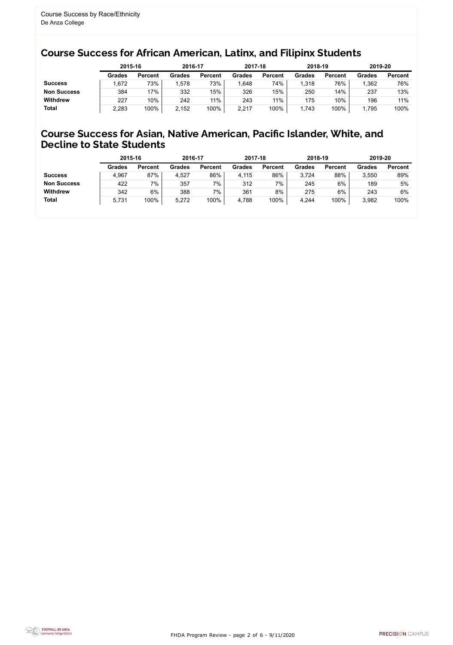FHDA Program Review - page 2 of 6 - 9/11/2020



### Course Success for African American, Latinx, and Filipinx Students

#### Course Success for Asian, Native American, Pacific Islander, White, and Decline to State Students

| 2015-16        |               | 2016-17        |               | 2017-18        |               | 2018-19        | 2019-20       |                |
|----------------|---------------|----------------|---------------|----------------|---------------|----------------|---------------|----------------|
| <b>Percent</b> | <b>Grades</b> | <b>Percent</b> | <b>Grades</b> | <b>Percent</b> | <b>Grades</b> | <b>Percent</b> | <b>Grades</b> | <b>Percent</b> |
| 73%            | 1,578         | 73%            | 1,648         | 74%            | ,318          | 76%            | 1,362         | 76%            |
| 17%            | 332           | 15%            | 326           | 15%            | 250           | 14%            | 237           | 13%            |
| 10%            | 242           | 11%            | 243           | 11%            | 175           | 10%            | 196           | 11%            |
| 100%           | 2,152         | 100%           | 2,217         | 100%           | .743          | 100%           | 1,795         | 100%           |
|                |               |                |               |                |               |                |               |                |

|                    | 2015-16       |                | 2016-17       |                | 2017-18       |                | 2018-19       |                | 2019-20       |                |
|--------------------|---------------|----------------|---------------|----------------|---------------|----------------|---------------|----------------|---------------|----------------|
|                    | <b>Grades</b> | <b>Percent</b> | <b>Grades</b> | <b>Percent</b> | <b>Grades</b> | <b>Percent</b> | <b>Grades</b> | <b>Percent</b> | <b>Grades</b> | <b>Percent</b> |
| <b>Success</b>     | 4,967         | 87%            | 4,527         | 86%            | 4,115         | 86%            | 3,724         | 88%            | 3,550         | 89%            |
| <b>Non Success</b> | 422           | 7%             | 357           | 7%             | 312           | 7%             | 245           | 6%             | 189           | 5%             |
| <b>Withdrew</b>    | 342           | 6%             | 388           | 7%             | 361           | 8%             | 275           | 6%             | 243           | 6%             |
| <b>Total</b>       | 5,731         | 100%           | 5,272         | 100%           | 4,788         | 100%           | 4,244         | 100%           | 3,982         | 100%           |
|                    |               |                |               |                |               |                |               |                |               |                |

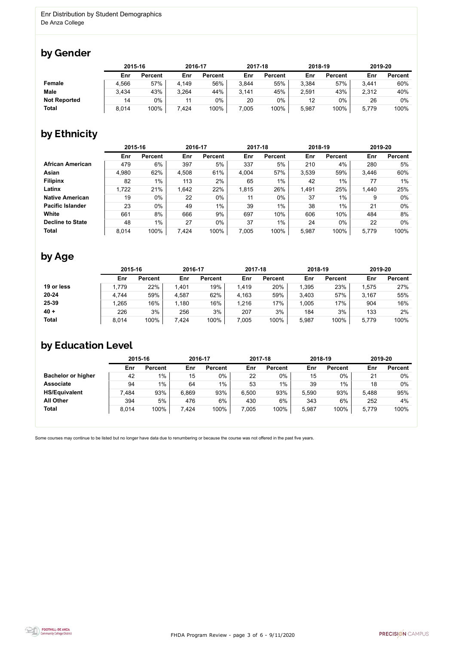

Some courses may continue to be listed but no longer have data due to renumbering or because the course was not offered in the past five years.



### by Gender

|                     |       | 2015-16        |       | 2016-17        |       | 2017-18        |       | 2018-19        | 2019-20 |                |
|---------------------|-------|----------------|-------|----------------|-------|----------------|-------|----------------|---------|----------------|
|                     | Enr   | <b>Percent</b> | Enr   | <b>Percent</b> | Enr   | <b>Percent</b> | Enr   | <b>Percent</b> | Enr     | <b>Percent</b> |
| <b>Female</b>       | 4,566 | 57%            | 4,149 | 56%            | 3,844 | 55%            | 3,384 | 57%            | 3,441   | 60%            |
| <b>Male</b>         | 3,434 | 43%            | 3,264 | 44%            | 3,141 | 45%            | 2,591 | 43%            | 2,312   | 40%            |
| <b>Not Reported</b> | 14    | 0%             |       | 0%             | 20    | $0\%$          | 12    | $0\%$          | 26      | 0%             |
| <b>Total</b>        | 8,014 | 100%           | 7,424 | 100%           | 7,005 | 100%           | 5,987 | 100%           | 5,779   | 100%           |

## by Ethnicity

|                         | 2015-16 |                |       | 2016-17        |       | 2017-18        | 2018-19 |                | 2019-20 |                |
|-------------------------|---------|----------------|-------|----------------|-------|----------------|---------|----------------|---------|----------------|
|                         | Enr     | <b>Percent</b> | Enr   | <b>Percent</b> | Enr   | <b>Percent</b> | Enr     | <b>Percent</b> | Enr     | <b>Percent</b> |
| <b>African American</b> | 479     | 6%             | 397   | 5%             | 337   | 5%             | 210     | 4%             | 280     | 5%             |
| Asian                   | 4,980   | 62%            | 4,508 | 61%            | 4,004 | 57%            | 3,539   | 59%            | 3,446   | 60%            |
| <b>Filipinx</b>         | 82      | 1%             | 113   | 2%             | 65    | $1\%$          | 42      | 1%             | 77      | $1\%$          |
| Latinx                  | 1,722   | 21%            | 1,642 | 22%            | 1,815 | 26%            | 1,491   | 25%            | 1,440   | 25%            |
| <b>Native American</b>  | 19      | $0\%$          | 22    | $0\%$          | 11    | $0\%$          | 37      | 1%             | 9       | $0\%$          |
| <b>Pacific Islander</b> | 23      | $0\%$          | 49    | $1\%$          | 39    | $1\%$          | 38      | $1\%$          | 21      | $0\%$          |
| White                   | 661     | 8%             | 666   | 9%             | 697   | 10%            | 606     | 10%            | 484     | 8%             |
| <b>Decline to State</b> | 48      | $1\%$          | 27    | $0\%$          | 37    | $1\%$          | 24      | $0\%$          | 22      | $0\%$          |
| <b>Total</b>            | 8,014   | 100%           | 7,424 | 100%           | 7,005 | 100%           | 5,987   | 100%           | 5,779   | 100%           |

### by Age

|              | 2015-16 |                | 2016-17 |                | 2017-18 |                | 2018-19 |                | 2019-20 |                |
|--------------|---------|----------------|---------|----------------|---------|----------------|---------|----------------|---------|----------------|
|              | Enr     | <b>Percent</b> | Enr     | <b>Percent</b> | Enr     | <b>Percent</b> | Enr     | <b>Percent</b> | Enr     | <b>Percent</b> |
| 19 or less   | 1,779   | 22%            | 1,401   | 19%            | 1,419   | 20%            | ,395    | 23%            | 1,575   | 27%            |
| $20 - 24$    | 4,744   | 59%            | 4,587   | 62%            | 4,163   | 59%            | 3,403   | 57%            | 3,167   | 55%            |
| 25-39        | ,265    | 16%            | 1,180   | 16%            | 1,216   | 17%            | 1,005   | 17%            | 904     | 16%            |
| $40 +$       | 226     | 3%             | 256     | 3%             | 207     | 3%             | 184     | 3%             | 133     | 2%             |
| <b>Total</b> | 8,014   | 100%           | 7,424   | 100%           | ,005    | 100%           | 5,987   | 100%           | 5,779   | 100%           |

## by Education Level

|                           | 2015-16 |                |       | 2016-17        |       | 2017-18        | 2018-19 |                | 2019-20 |                |
|---------------------------|---------|----------------|-------|----------------|-------|----------------|---------|----------------|---------|----------------|
|                           | Enr     | <b>Percent</b> | Enr   | <b>Percent</b> | Enr   | <b>Percent</b> | Enr     | <b>Percent</b> | Enr     | <b>Percent</b> |
| <b>Bachelor or higher</b> | 42      | $1\%$          | 15    | 0%             | 22    | 0%             | 15      | 0%             | 21      | $0\%$          |
| <b>Associate</b>          | 94      | $1\%$          | 64    | 1%             | 53    | $1\%$          | 39      | $1\%$          | 18      | $0\%$          |
| <b>HS/Equivalent</b>      | 7,484   | 93%            | 6,869 | 93%            | 6,500 | 93%            | 5,590   | 93%            | 5,488   | 95%            |
| <b>All Other</b>          | 394     | 5%             | 476   | $6\%$          | 430   | 6%             | 343     | 6%             | 252     | 4%             |
| <b>Total</b>              | 8,014   | 100%           | 7,424 | 100%           | 7,005 | 100%           | 5,987   | 100%           | 5,779   | 100%           |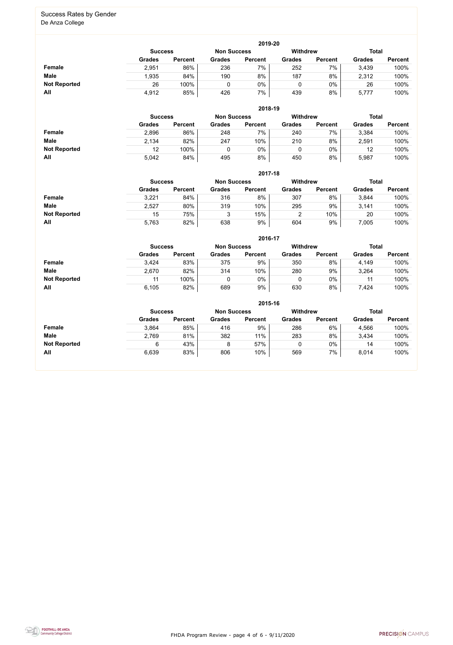FHDA Program Review - page 4 of 6 - 9/11/2020



#### Success Rates by Gender De Anza College

|                     | 2019-20        |                |                    |                |                 |                |               |                |  |  |  |  |  |
|---------------------|----------------|----------------|--------------------|----------------|-----------------|----------------|---------------|----------------|--|--|--|--|--|
|                     | <b>Success</b> |                | <b>Non Success</b> |                | <b>Withdrew</b> |                | <b>Total</b>  |                |  |  |  |  |  |
|                     | <b>Grades</b>  | <b>Percent</b> | <b>Grades</b>      | <b>Percent</b> | <b>Grades</b>   | <b>Percent</b> | <b>Grades</b> | <b>Percent</b> |  |  |  |  |  |
| Female              | 2,951          | 86%            | 236                | 7%             | 252             | 7%             | 3,439         | 100%           |  |  |  |  |  |
| <b>Male</b>         | 1,935          | 84%            | 190                | 8%             | 187             | 8%             | 2,312         | 100%           |  |  |  |  |  |
| <b>Not Reported</b> | 26             | 100%           | 0                  | 0%             |                 | 0%             | 26            | 100%           |  |  |  |  |  |
| All                 | 4,912          | 85%            | 426                | 7%             | 439             | 8%             | 5,777         | 100%           |  |  |  |  |  |

|                     |                | 2018-19        |                    |                |                 |                |               |                |  |  |  |  |  |  |
|---------------------|----------------|----------------|--------------------|----------------|-----------------|----------------|---------------|----------------|--|--|--|--|--|--|
|                     | <b>Success</b> |                | <b>Non Success</b> |                | <b>Withdrew</b> |                | <b>Total</b>  |                |  |  |  |  |  |  |
|                     | <b>Grades</b>  | <b>Percent</b> | <b>Grades</b>      | <b>Percent</b> | <b>Grades</b>   | <b>Percent</b> | <b>Grades</b> | <b>Percent</b> |  |  |  |  |  |  |
| Female              | 2,896          | 86%            | 248                | 7%             | 240             | 7%             | 3,384         | 100%           |  |  |  |  |  |  |
| <b>Male</b>         | 2,134          | 82%            | 247                | 10%            | 210             | 8%             | 2,591         | 100%           |  |  |  |  |  |  |
| <b>Not Reported</b> | 12             | 100%           |                    | 0%             |                 | $0\%$          | 12            | 100%           |  |  |  |  |  |  |
| All                 | 5,042          | 84%            | 495                | 8%             | 450             | 8%             | 5,987         | 100%           |  |  |  |  |  |  |

|                     |                | 2017-18        |                    |                |                 |                |               |                |  |  |  |  |  |  |
|---------------------|----------------|----------------|--------------------|----------------|-----------------|----------------|---------------|----------------|--|--|--|--|--|--|
|                     | <b>Success</b> |                | <b>Non Success</b> |                | <b>Withdrew</b> |                | <b>Total</b>  |                |  |  |  |  |  |  |
|                     | <b>Grades</b>  | <b>Percent</b> | <b>Grades</b>      | <b>Percent</b> | <b>Grades</b>   | <b>Percent</b> | <b>Grades</b> | <b>Percent</b> |  |  |  |  |  |  |
| Female              | 3,221          | 84%            | 316                | 8%             | 307             | 8%             | 3,844         | 100%           |  |  |  |  |  |  |
| <b>Male</b>         | 2,527          | 80%            | 319                | 10%            | 295             | 9%             | 3,141         | 100%           |  |  |  |  |  |  |
| <b>Not Reported</b> | 15             | 75%            |                    | 15%            |                 | 10%            | 20            | 100%           |  |  |  |  |  |  |
| All                 | 5,763          | 82%            | 638                | 9%             | 604             | 9%             | 7,005         | 100%           |  |  |  |  |  |  |

|                     |               | 2016-17                                                 |               |                |               |                |               |                |  |
|---------------------|---------------|---------------------------------------------------------|---------------|----------------|---------------|----------------|---------------|----------------|--|
|                     |               | <b>Withdrew</b><br><b>Non Success</b><br><b>Success</b> |               |                |               |                |               |                |  |
|                     | <b>Grades</b> | <b>Percent</b>                                          | <b>Grades</b> | <b>Percent</b> | <b>Grades</b> | <b>Percent</b> | <b>Grades</b> | <b>Percent</b> |  |
| Female              | 3,424         | 83%                                                     | 375           | 9%             | 350           | 8%             | 4,149         | 100%           |  |
| <b>Male</b>         | 2,670         | 82%                                                     | 314           | 10%            | 280           | 9%             | 3,264         | 100%           |  |
| <b>Not Reported</b> |               | 100%                                                    |               | 0%             |               | $0\%$          | 11            | 100%           |  |
| All                 | 6,105         | 82%                                                     | 689           | 9%             | 630           | 8%             | 7,424         | 100%           |  |

|                     |                                                                         | 2015-16        |               |                |               |                |               |                |  |  |
|---------------------|-------------------------------------------------------------------------|----------------|---------------|----------------|---------------|----------------|---------------|----------------|--|--|
|                     | <b>Withdrew</b><br><b>Total</b><br><b>Non Success</b><br><b>Success</b> |                |               |                |               |                |               |                |  |  |
|                     | <b>Grades</b>                                                           | <b>Percent</b> | <b>Grades</b> | <b>Percent</b> | <b>Grades</b> | <b>Percent</b> | <b>Grades</b> | <b>Percent</b> |  |  |
| <b>Female</b>       | 3,864                                                                   | 85%            | 416           | 9%             | 286           | 6%             | 4,566         | 100%           |  |  |
| <b>Male</b>         | 2,769                                                                   | 81%            | 382           | 11%            | 283           | 8%             | 3,434         | 100%           |  |  |
| <b>Not Reported</b> | 6                                                                       | 43%            | 8             | 57%            | 0             | $0\%$          | 14            | 100%           |  |  |
| All                 | 6,639                                                                   | 83%            | 806           | 10%            | 569           | 7%             | 8,014         | 100%           |  |  |

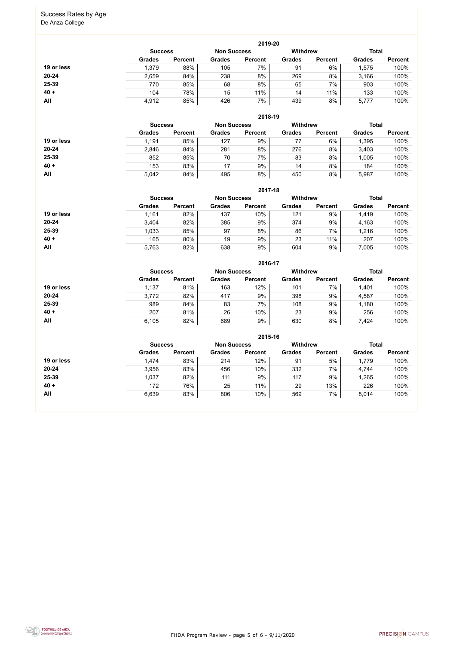FHDA Program Review - page 5 of 6 - 9/11/2020



# Success Rates by Age

De Anza College

|            |                |                    |               | 2019-20        |                                 |                |               |                |
|------------|----------------|--------------------|---------------|----------------|---------------------------------|----------------|---------------|----------------|
|            | <b>Success</b> | <b>Non Success</b> |               |                | <b>Total</b><br><b>Withdrew</b> |                |               |                |
|            | <b>Grades</b>  | <b>Percent</b>     | <b>Grades</b> | <b>Percent</b> | <b>Grades</b>                   | <b>Percent</b> | <b>Grades</b> | <b>Percent</b> |
| 19 or less | 1,379          | 88%                | 105           | 7%             | 91                              | 6%             | 1,575         | 100%           |
| $20 - 24$  | 2,659          | 84%                | 238           | 8%             | 269                             | 8%             | 3,166         | 100%           |
| 25-39      | 770            | 85%                | 68            | 8%             | 65                              | 7%             | 903           | 100%           |
| $40 +$     | 104            | 78%                | 15            | 11%            | 14                              | 11%            | 133           | 100%           |
| All        | 4,912          | 85%                | 426           | 7%             | 439                             | 8%             | 5,777         | 100%           |

|            |                |                |               | 2018-19            |                 |                |               |                |
|------------|----------------|----------------|---------------|--------------------|-----------------|----------------|---------------|----------------|
|            | <b>Success</b> |                |               | <b>Non Success</b> | <b>Withdrew</b> |                | <b>Total</b>  |                |
|            | <b>Grades</b>  | <b>Percent</b> | <b>Grades</b> | <b>Percent</b>     | <b>Grades</b>   | <b>Percent</b> | <b>Grades</b> | <b>Percent</b> |
| 19 or less | 1,191          | 85%            | 127           | 9%                 |                 | 6%             | 1,395         | 100%           |
| $20 - 24$  | 2,846          | 84%            | 281           | 8%                 | 276             | 8%             | 3,403         | 100%           |
| $25 - 39$  | 852            | 85%            | 70            | 7%                 | 83              | 8%             | 1,005         | 100%           |
| $40 +$     | 153            | 83%            | 17            | 9%                 | 14              | 8%             | 184           | 100%           |
| All        | 5,042          | 84%            | 495           | 8%                 | 450             | 8%             | 5,987         | 100%           |

|            |                                                         |                |               | 2017-18        |               |                |               |                |
|------------|---------------------------------------------------------|----------------|---------------|----------------|---------------|----------------|---------------|----------------|
|            | <b>Withdrew</b><br><b>Non Success</b><br><b>Success</b> |                |               |                |               |                |               |                |
|            | <b>Grades</b>                                           | <b>Percent</b> | <b>Grades</b> | <b>Percent</b> | <b>Grades</b> | <b>Percent</b> | <b>Grades</b> | <b>Percent</b> |
| 19 or less | 1,161                                                   | 82%            | 137           | 10%            | 121           | 9%             | 1,419         | 100%           |
| $20 - 24$  | 3,404                                                   | 82%            | 385           | 9%             | 374           | 9%             | 4,163         | 100%           |
| $25 - 39$  | 1,033                                                   | 85%            | 97            | 8%             | 86            | 7%             | 1,216         | 100%           |
| $40 +$     | 165                                                     | 80%            | 19            | 9%             | 23            | 11%            | 207           | 100%           |
| All        | 5,763                                                   | 82%            | 638           | 9%             | 604           | 9%             | 7,005         | 100%           |

|            |                |                    |               | 2016-17         |               |                |               |                |
|------------|----------------|--------------------|---------------|-----------------|---------------|----------------|---------------|----------------|
|            | <b>Success</b> | <b>Non Success</b> |               | <b>Withdrew</b> | <b>Total</b>  |                |               |                |
|            | <b>Grades</b>  | <b>Percent</b>     | <b>Grades</b> | <b>Percent</b>  | <b>Grades</b> | <b>Percent</b> | <b>Grades</b> | <b>Percent</b> |
| 19 or less | 1,137          | 81%                | 163           | 12%             | 101           | 7%             | 1,401         | 100%           |
| $20 - 24$  | 3,772          | 82%                | 417           | 9%              | 398           | 9%             | 4,587         | 100%           |
| 25-39      | 989            | 84%                | 83            | 7%              | 108           | 9%             | 1,180         | 100%           |
| $40 +$     | 207            | 81%                | 26            | 10%             | 23            | 9%             | 256           | 100%           |
| All        | 6,105          | 82%                | 689           | 9%              | 630           | 8%             | 7,424         | 100%           |

|            |                                                                         |                |               | 2015-16        |               |                |               |                |
|------------|-------------------------------------------------------------------------|----------------|---------------|----------------|---------------|----------------|---------------|----------------|
|            | <b>Withdrew</b><br><b>Total</b><br><b>Non Success</b><br><b>Success</b> |                |               |                |               |                |               |                |
|            | <b>Grades</b>                                                           | <b>Percent</b> | <b>Grades</b> | <b>Percent</b> | <b>Grades</b> | <b>Percent</b> | <b>Grades</b> | <b>Percent</b> |
| 19 or less | 1,474                                                                   | 83%            | 214           | 12%            | 91            | 5%             | 1,779         | 100%           |
| $20 - 24$  | 3,956                                                                   | 83%            | 456           | 10%            | 332           | 7%             | 4,744         | 100%           |
| 25-39      | 1,037                                                                   | 82%            | 111           | 9%             | 117           | 9%             | 1,265         | 100%           |
| $40 +$     | 172                                                                     | 76%            | 25            | 11%            | 29            | 13%            | 226           | 100%           |
| All        | 6,639                                                                   | 83%            | 806           | 10%            | 569           | 7%             | 8,014         | 100%           |